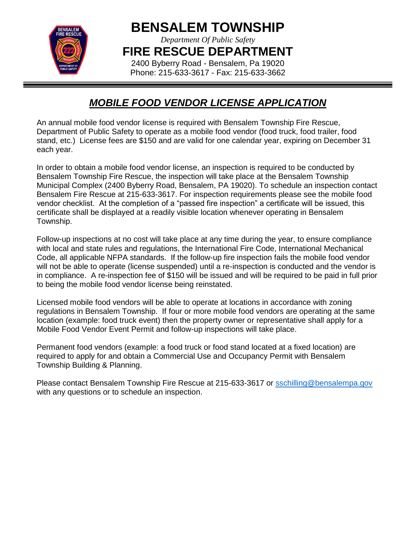

**BENSALEM TOWNSHIP**

*Department Of Public Safety*

**FIRE RESCUE DEPARTMENT**

2400 Byberry Road - Bensalem, Pa 19020 Phone: 215-633-3617 - Fax: 215-633-3662

## *MOBILE FOOD VENDOR LICENSE APPLICATION*

An annual mobile food vendor license is required with Bensalem Township Fire Rescue, Department of Public Safety to operate as a mobile food vendor (food truck, food trailer, food stand, etc.) License fees are \$150 and are valid for one calendar year, expiring on December 31 each year.

In order to obtain a mobile food vendor license, an inspection is required to be conducted by Bensalem Township Fire Rescue, the inspection will take place at the Bensalem Township Municipal Complex (2400 Byberry Road, Bensalem, PA 19020). To schedule an inspection contact Bensalem Fire Rescue at 215-633-3617. For inspection requirements please see the mobile food vendor checklist. At the completion of a "passed fire inspection" a certificate will be issued, this certificate shall be displayed at a readily visible location whenever operating in Bensalem Township.

Follow-up inspections at no cost will take place at any time during the year, to ensure compliance with local and state rules and regulations, the International Fire Code, International Mechanical Code, all applicable NFPA standards. If the follow-up fire inspection fails the mobile food vendor will not be able to operate (license suspended) until a re-inspection is conducted and the vendor is in compliance. A re-inspection fee of \$150 will be issued and will be required to be paid in full prior to being the mobile food vendor license being reinstated.

Licensed mobile food vendors will be able to operate at locations in accordance with zoning regulations in Bensalem Township. If four or more mobile food vendors are operating at the same location (example: food truck event) then the property owner or representative shall apply for a Mobile Food Vendor Event Permit and follow-up inspections will take place.

Permanent food vendors (example: a food truck or food stand located at a fixed location) are required to apply for and obtain a Commercial Use and Occupancy Permit with Bensalem Township Building & Planning.

Please contact Bensalem Township Fire Rescue at 215-633-3617 or [sschilling@bensalempa.gov](mailto:sschilling@bensalempa.gov) with any questions or to schedule an inspection.